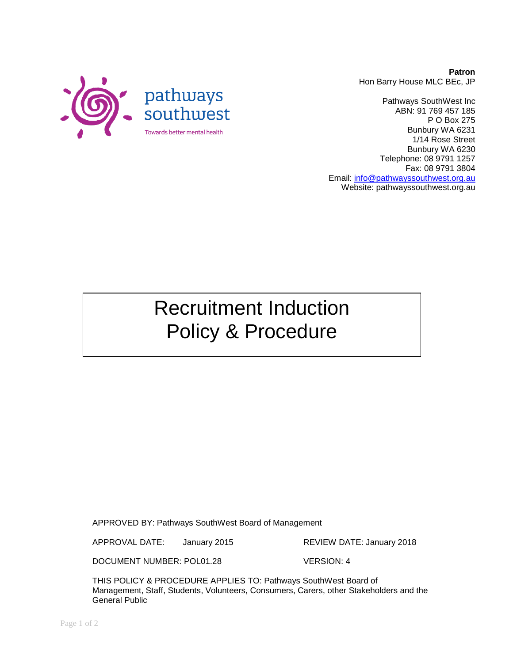

Pathways SouthWest Inc ABN: 91 769 457 185 P O Box 275 Bunbury WA 6231 1/14 Rose Street Bunbury WA 6230 Telephone: 08 9791 1257 Fax: 08 9791 3804 Email: [info@pathwayssouthwest.org.au](mailto:info@pathwayssouthwest.org.au) Website: pathwayssouthwest.org.au

Recruitment Induction Policy & Procedure

APPROVED BY: Pathways SouthWest Board of Management

APPROVAL DATE: January 2015 REVIEW DATE: January 2018

DOCUMENT NUMBER: POL01.28 VERSION: 4

THIS POLICY & PROCEDURE APPLIES TO: Pathways SouthWest Board of Management, Staff, Students, Volunteers, Consumers, Carers, other Stakeholders and the General Public